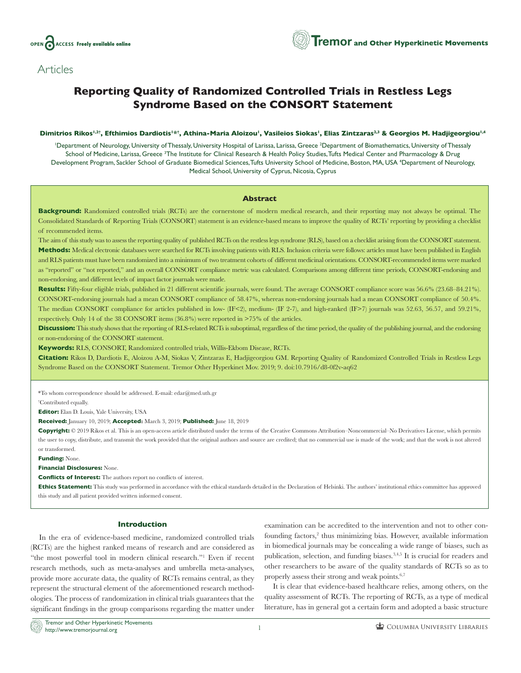

# **Articles**

# **Reporting Quality of Randomized Controlled Trials in Restless Legs Syndrome Based on the CONSORT Statement**

#### **Dimitrios Rikos1,2† , Efthimios Dardiotis1\*† , Athina-Maria Aloizou1, Vasileios Siokas1, Elias Zintzaras2,3 & Georgios M. Hadjigeorgiou1,4**

<sup>1</sup>Department of Neurology, University of Thessaly, University Hospital of Larissa, Larissa, Greece <sup>2</sup>Department of Biomathematics, University of Thessaly School of Medicine, Larissa, Greece <sup>3</sup>The Institute for Clinical Research & Health Policy Studies,Tufts Medical Center and Pharmacology & Drug Development Program, Sackler School of Graduate Biomedical Sciences, Tufts University School of Medicine, Boston, MA, USA <sup>4</sup>Department of Neurology, Medical School, University of Cyprus, Nicosia, Cyprus

#### **Abstract**

**Background:** Randomized controlled trials (RCTs) are the cornerstone of modern medical research, and their reporting may not always be optimal. The Consolidated Standards of Reporting Trials (CONSORT) statement is an evidence-based means to improve the quality of RCTs' reporting by providing a checklist of recommended items.

The aim of this study was to assess the reporting quality of published RCTs on the restless legs syndrome (RLS), based on a checklist arising from the CONSORT statement. **Methods:** Medical electronic databases were searched for RCTs involving patients with RLS. Inclusion criteria were follows: articles must have been published in English and RLS patients must have been randomized into a minimum of two treatment cohorts of different medicinal orientations. CONSORT-recommended items were marked as "reported" or "not reported," and an overall CONSORT compliance metric was calculated. Comparisons among different time periods, CONSORT-endorsing and non-endorsing, and different levels of impact factor journals were made.

**Results:** Fifty-four eligible trials, published in 21 different scientific journals, were found. The average CONSORT compliance score was 56.6% (23.68–84.21%). CONSORT-endorsing journals had a mean CONSORT compliance of 58.47%, whereas non-endorsing journals had a mean CONSORT compliance of 50.4%. The median CONSORT compliance for articles published in low- (IF<2), medium- (IF 2-7), and high-ranked (IF>7) journals was 52.63, 56.57, and 59.21%, respectively. Only 14 of the 38 CONSORT items (36.8%) were reported in >75% of the articles.

**Discussion:** This study shows that the reporting of RLS-related RCTs is suboptimal, regardless of the time period, the quality of the publishing journal, and the endorsing or non-endorsing of the CONSORT statement.

**Keywords:** RLS, CONSORT, Randomized controlled trials, Willis-Ekbom Disease, RCTs.

**Citation:** Rikos D, Dardiotis E, Aloizou A-M, Siokas V, Zintzaras E, Hadjigeorgiou GM. Reporting Quality of Randomized Controlled Trials in Restless Legs Syndrome Based on the CONSORT Statement. Tremor Other Hyperkinet Mov. 2019; 9. [doi:10.7916/d8-0f2v-aq62](http://dx.doi.org/10.7916/d8-0f2v-aq62)

\*To whom correspondence should be addressed. E-mail: [edar@med.uth.gr](mailto:edar@med.uth.gr)

† Contributed equally.

**Editor:** Elan D. Louis, Yale University, USA

**Received:** January 10, 2019; **Accepted:** March 3, 2019; **Published:** June 18, 2019

**Copyright:** © 2019 Rikos et al. This is an open-access article distributed under the terms of the Creative Commons Attribution–Noncommercial–No Derivatives License, which permits the user to copy, distribute, and transmit the work provided that the original authors and source are credited; that no commercial use is made of the work; and that the work is not altered or transformed.

**Funding:** None.

**Financial Disclosures:** None.

**Conflicts of Interest:** The authors report no conflicts of interest.

**Ethics Statement:** This study was performed in accordance with the ethical standards detailed in the Declaration of Helsinki. The authors' institutional ethics committee has approved this study and all patient provided written informed consent.

#### **Introduction**

In the era of evidence-based medicine, randomized controlled trials (RCTs) are the highest ranked means of research and are considered as "the most powerful tool in modern clinical research."1 Even if recent research methods, such as meta-analyses and umbrella meta-analyses, provide more accurate data, the quality of RCTs remains central, as they represent the structural element of the aforementioned research methodologies. The process of randomization in clinical trials guarantees that the significant findings in the group comparisons regarding the matter under

examination can be accredited to the intervention and not to other confounding factors,<sup>2</sup> thus minimizing bias. However, available information in biomedical journals may be concealing a wide range of biases, such as publication, selection, and funding biases.3,4,5 It is crucial for readers and other researchers to be aware of the quality standards of RCTs so as to properly assess their strong and weak points.6,7

It is clear that evidence-based healthcare relies, among others, on the quality assessment of RCTs. The reporting of RCTs, as a type of medical literature, has in general got a certain form and adopted a basic structure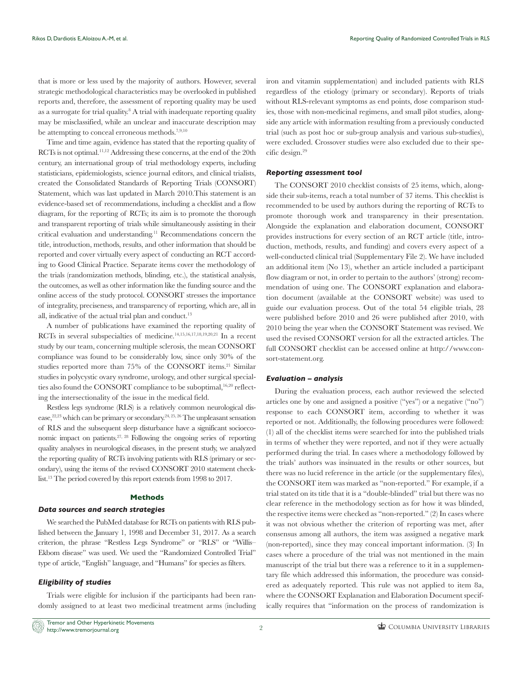that is more or less used by the majority of authors. However, several strategic methodological characteristics may be overlooked in published reports and, therefore, the assessment of reporting quality may be used as a surrogate for trial quality.<sup>8</sup> A trial with inadequate reporting quality may be misclassified, while an unclear and inaccurate description may be attempting to conceal erroneous methods.<sup>7,9,10</sup>

Time and time again, evidence has stated that the reporting quality of RCTs is not optimal.<sup>11,12</sup> Addressing these concerns, at the end of the 20th century, an international group of trial methodology experts, including statisticians, epidemiologists, science journal editors, and clinical trialists, created the Consolidated Standards of Reporting Trials (CONSORT) Statement, which was last updated in March 2010.This statement is an evidence-based set of recommendations, including a checklist and a flow diagram, for the reporting of RCTs; its aim is to promote the thorough and transparent reporting of trials while simultaneously assisting in their critical evaluation and understanding.11 Recommendations concern the title, introduction, methods, results, and other information that should be reported and cover virtually every aspect of conducting an RCT according to Good Clinical Practice. Separate items cover the methodology of the trials (randomization methods, blinding, etc.), the statistical analysis, the outcomes, as well as other information like the funding source and the online access of the study protocol. CONSORT stresses the importance of integrality, preciseness, and transparency of reporting, which are, all in all, indicative of the actual trial plan and conduct.<sup>13</sup>

A number of publications have examined the reporting quality of RCTs in several subspecialties of medicine.<sup>14,15,16,17,18,19,20,21</sup> In a recent study by our team, concerning multiple sclerosis, the mean CONSORT compliance was found to be considerably low, since only 30% of the studies reported more than 75% of the CONSORT items.<sup>21</sup> Similar studies in polycystic ovary syndrome, urology, and other surgical specialties also found the CONSORT compliance to be suboptimal,<sup>16,20</sup> reflecting the intersectionality of the issue in the medical field.

Restless legs syndrome (RLS) is a relatively common neurological disease,  $22,23$  which can be primary or secondary.  $24,25,26$  The unpleasant sensation of RLS and the subsequent sleep disturbance have a significant socioeconomic impact on patients.27, 28 Following the ongoing series of reporting quality analyses in neurological diseases, in the present study, we analyzed the reporting quality of RCTs involving patients with RLS (primary or secondary), using the items of the revised CONSORT 2010 statement checklist.13 The period covered by this report extends from 1998 to 2017.

## **Methods**

# *Data sources and search strategies*

We searched the PubMed database for RCTs on patients with RLS published between the January 1, 1998 and December 31, 2017. As a search criterion, the phrase "Restless Legs Syndrome" or "RLS" or "Willis– Ekbom disease" was used. We used the "Randomized Controlled Trial" type of article, "English" language, and "Humans" for species as filters.

## *Eligibility of studies*

Trials were eligible for inclusion if the participants had been randomly assigned to at least two medicinal treatment arms (including iron and vitamin supplementation) and included patients with RLS regardless of the etiology (primary or secondary). Reports of trials without RLS-relevant symptoms as end points, dose comparison studies, those with non-medicinal regimens, and small pilot studies, alongside any article with information resulting from a previously conducted trial (such as post hoc or sub-group analysis and various sub-studies), were excluded. Crossover studies were also excluded due to their specific design.29

#### *Reporting assessment tool*

The CONSORT 2010 checklist consists of 25 items, which, alongside their sub-items, reach a total number of 37 items. This checklist is recommended to be used by authors during the reporting of RCTs to promote thorough work and transparency in their presentation. Alongside the explanation and elaboration document, CONSORT provides instructions for every section of an RCT article (title, introduction, methods, results, and funding) and covers every aspect of a well-conducted clinical trial (Supplementary File 2). We have included an additional item (No 13), whether an article included a participant flow diagram or not, in order to pertain to the authors' (strong) recommendation of using one. The CONSORT explanation and elaboration document (available at the CONSORT website) was used to guide our evaluation process. Out of the total 54 eligible trials, 28 were published before 2010 and 26 were published after 2010, with 2010 being the year when the CONSORT Statement was revised. We used the revised CONSORT version for all the extracted articles. The full CONSORT checklist can be accessed online at [http://www.con](http://www.consort-statement.org)[sort-statement.org](http://www.consort-statement.org).

#### *Evaluation – analysis*

During the evaluation process, each author reviewed the selected articles one by one and assigned a positive ("yes") or a negative ("no") response to each CONSORT item, according to whether it was reported or not. Additionally, the following procedures were followed: (1) all of the checklist items were searched for into the published trials in terms of whether they were reported, and not if they were actually performed during the trial. In cases where a methodology followed by the trials' authors was insinuated in the results or other sources, but there was no lucid reference in the article (or the supplementary files), the CONSORT item was marked as "non-reported." For example, if a trial stated on its title that it is a "double-blinded" trial but there was no clear reference in the methodology section as for how it was blinded, the respective items were checked as "non-reported." (2) In cases where it was not obvious whether the criterion of reporting was met, after consensus among all authors, the item was assigned a negative mark (non-reported), since they may conceal important information. (3) In cases where a procedure of the trial was not mentioned in the main manuscript of the trial but there was a reference to it in a supplementary file which addressed this information, the procedure was considered as adequately reported. This rule was not applied to item 8a, where the CONSORT Explanation and Elaboration Document specifically requires that "information on the process of randomization is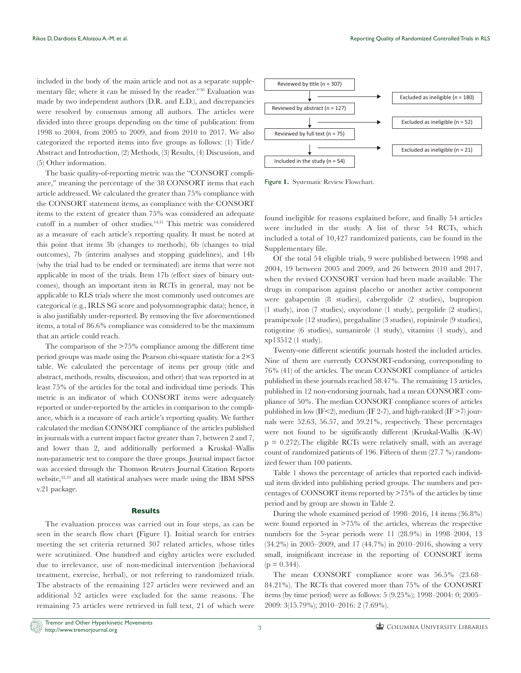included in the body of the main article and not as a separate supplementary file; where it can be missed by the reader."30 Evaluation was made by two independent authors (D.R. and E.D.), and discrepancies were resolved by consensus among all authors. The articles were divided into three groups depending on the time of publication: from 1998 to 2004, from 2005 to 2009, and from 2010 to 2017. We also categorized the reported items into five groups as follows: (1) Title/ Abstract and Introduction, (2) Methods, (3) Results, (4) Discussion, and (5) Other information.

The basic quality-of-reporting metric was the "CONSORT compliance," meaning the percentage of the 38 CONSORT items that each article addressed. We calculated the greater than 75% compliance with the CONSORT statement items, as compliance with the CONSORT items to the extent of greater than 75% was considered an adequate cutoff in a number of other studies.<sup>14,31</sup> This metric was considered as a measure of each article's reporting quality. It must be noted at this point that items 3b (changes to methods), 6b (changes to trial outcomes), 7b (interim analyses and stopping guidelines), and 14b (why the trial had to be ended or terminated) are items that were not applicable in most of the trials. Item 17b (effect sizes of binary outcomes), though an important item in RCTs in general, may not be applicable to RLS trials where the most commonly used outcomes are categorical (e.g., IRLS SG score and polysomnographic data); hence, it is also justifiably under-reported. By removing the five aforementioned items, a total of 86.6% compliance was considered to be the maximum that an article could reach.

The comparison of the >75% compliance among the different time period groups was made using the Pearson chi-square statistic for a 2×3 table. We calculated the percentage of items per group (title and abstract, methods, results, discussion, and other) that was reported in at least 75% of the articles for the total and individual time periods. This metric is an indicator of which CONSORT items were adequately reported or under-reported by the articles in comparison to the compliance, which is a measure of each article's reporting quality. We further calculated the median CONSORT compliance of the articles published in journals with a current impact factor greater than 7, between 2 and 7, and lower than 2, and additionally performed a Kruskal–Wallis non-parametric test to compare the three groups. Journal impact factor was accessed through the Thomson Reuters Journal Citation Reports website,<sup>32,33</sup> and all statistical analyses were made using the IBM SPSS v.21 package.

#### **Results**

The evaluation process was carried out in four steps, as can be seen in the search flow chart **(**Figure 1**)**. Initial search for entries meeting the set criteria returned 307 related articles, whose titles were scrutinized. One hundred and eighty articles were excluded due to irrelevance, use of non-medicinal intervention (behavioral treatment, exercise, herbal), or not referring to randomized trials. The abstracts of the remaining 127 articles were reviewed and an additional 52 articles were excluded for the same reasons. The remaining 75 articles were retrieved in full text, 21 of which were



Figure **1.** Systematic Review Flowchart.

found ineligible for reasons explained before, and finally 54 articles were included in the study. A list of these 54 RCTs, which included a total of 10,427 randomized patients, can be found in the Supplementary file.

Of the total 54 eligible trials, 9 were published between 1998 and 2004, 19 between 2005 and 2009, and 26 between 2010 and 2017, when the revised CONSORT version had been made available. The drugs in comparison against placebo or another active component were gabapentin (8 studies), cabergolide (2 studies), bupropion (1 study), iron (7 studies), oxycodone (1 study), pergolide (2 studies), pramipexole (12 studies), pregabaline (3 studies), ropinirole (9 studies), rotigotine (6 studies), sumanirole (1 study), vitamins (1 study), and xp13512 (1 study).

Twenty-one different scientific journals hosted the included articles. Nine of them are currently CONSORT-endorsing, corresponding to 76% (41) of the articles. The mean CONSORT compliance of articles published in these journals reached 58.47%. The remaining 13 articles, published in 12 non-endorsing journals, had a mean CONSORT compliance of 50%. The median CONSORT compliance scores of articles published in low (IF<2), medium (IF 2-7), and high-ranked (IF  $>$ 7) journals were 52.63, 56.57, and 59.21%, respectively. These percentages were not found to be significantly different (Kruskal-Wallis (K-W)  $p = 0.272$ ). The eligible RCTs were relatively small, with an average count of randomized patients of 196. Fifteen of them (27.7 %) randomized fewer than 100 patients.

Table 1 shows the percentage of articles that reported each individual item divided into publishing period groups. The numbers and percentages of CONSORT items reported by >75% of the articles by time period and by group are shown in Table 2.

During the whole examined period of 1998–2016, 14 items (36.8%) were found reported in >75% of the articles, whereas the respective numbers for the 5-year periods were 11 (28.9%) in 1998–2004, 13 (34.2%) in 2005–2009, and 17 (44.7%) in 2010–2016, showing a very small, insignificant increase in the reporting of CONSORT items  $(p = 0.344)$ .

The mean CONSORT compliance score was 56.5% (23.68– 84.21%). The RCTs that covered more than 75% of the CONOSRT items (by time period) were as follows: 5 (9.25%); 1998–2004: 0; 2005– 2009: 3(15.79%); 2010–2016: 2 (7.69%).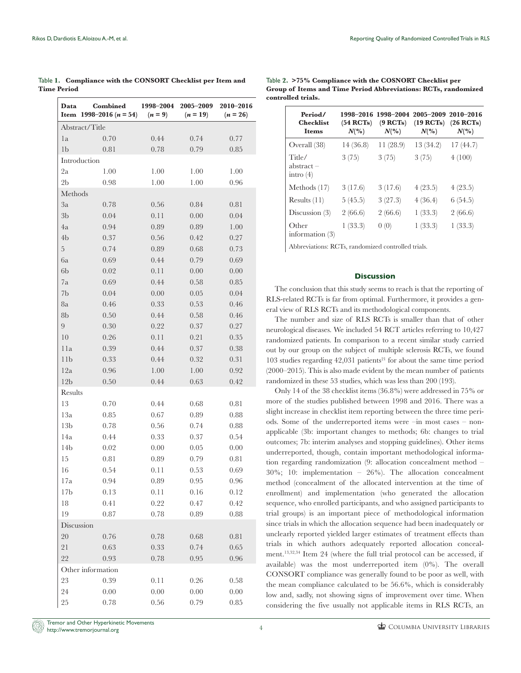| Data              | <b>Combined</b><br>Item 1998-2016 ( $n = 54$ ) | 1998-2004<br>$(n=9)$ | 2005-2009<br>$(n = 19)$ | 2010-2016<br>$(n = 26)$ |  |  |  |  |  |
|-------------------|------------------------------------------------|----------------------|-------------------------|-------------------------|--|--|--|--|--|
| Abstract/Title    |                                                |                      |                         |                         |  |  |  |  |  |
| 1a                | 0.70                                           | 0.44                 | 0.74                    | 0.77                    |  |  |  |  |  |
| 1 <sub>b</sub>    | 0.81                                           | 0.78                 | 0.79                    | 0.85                    |  |  |  |  |  |
| Introduction      |                                                |                      |                         |                         |  |  |  |  |  |
| 2a                | 1.00                                           | 1.00                 | 1.00                    | 1.00                    |  |  |  |  |  |
| 2 <sub>b</sub>    | 0.98                                           | 1.00                 | 1.00                    | 0.96                    |  |  |  |  |  |
|                   | Methods                                        |                      |                         |                         |  |  |  |  |  |
| 3a                | 0.78                                           | 0.56                 | 0.84                    | 0.81                    |  |  |  |  |  |
| 3 <sub>b</sub>    | 0.04                                           | 0.11                 | 0.00                    | 0.04                    |  |  |  |  |  |
| 4a                | 0.94                                           | 0.89                 | 0.89                    | 1.00                    |  |  |  |  |  |
| 4 <sub>b</sub>    | 0.37                                           | 0.56                 | 0.42                    | 0.27                    |  |  |  |  |  |
| $\overline{5}$    | 0.74                                           | 0.89                 | 0.68                    | 0.73                    |  |  |  |  |  |
| 6a                | 0.69                                           | 0.44                 | 0.79                    | 0.69                    |  |  |  |  |  |
| 6 <sub>b</sub>    | 0.02                                           | 0.11                 | 0.00                    | 0.00                    |  |  |  |  |  |
| 7a                | 0.69                                           | 0.44                 | 0.58                    | 0.85                    |  |  |  |  |  |
| 7b                | 0.04                                           | 0.00                 | 0.05                    | 0.04                    |  |  |  |  |  |
| 8a                | 0.46                                           | 0.33                 | 0.53                    | 0.46                    |  |  |  |  |  |
| 8b                | 0.50                                           | 0.44                 | 0.58                    | 0.46                    |  |  |  |  |  |
| 9                 | 0.30                                           | 0.22                 | 0.37                    | 0.27                    |  |  |  |  |  |
| 10                | 0.26                                           | 0.11                 | 0.21                    | 0.35                    |  |  |  |  |  |
| 11a               | 0.39                                           | 0.44                 | 0.37                    | 0.38                    |  |  |  |  |  |
| 11 <sub>b</sub>   | 0.33                                           | 0.44                 | 0.32                    | 0.31                    |  |  |  |  |  |
| 12a               | 0.96                                           | 1.00                 | 1.00                    | 0.92                    |  |  |  |  |  |
| 12 <sub>b</sub>   | 0.50                                           | 0.44                 | 0.63                    | 0.42                    |  |  |  |  |  |
| Results           |                                                |                      |                         |                         |  |  |  |  |  |
| 13                | 0.70                                           | 0.44                 | 0.68                    | 0.81                    |  |  |  |  |  |
| 13a               | 0.85                                           | 0.67                 | 0.89                    | 0.88                    |  |  |  |  |  |
| 13 <sub>b</sub>   | 0.78                                           | 0.56                 | 0.74                    | 0.88                    |  |  |  |  |  |
| 14a               | 0.44                                           | 0.33                 | 0.37                    | 0.54                    |  |  |  |  |  |
| 14 <sub>b</sub>   | 0.02                                           | 0.00                 | 0.05                    | 0.00                    |  |  |  |  |  |
| 15                | 0.81                                           | 0.89                 | 0.79                    | 0.81                    |  |  |  |  |  |
| 16                | 0.54                                           | 0.11                 | 0.53                    | 0.69                    |  |  |  |  |  |
| 17a               | 0.94                                           | 0.89                 | 0.95                    | 0.96                    |  |  |  |  |  |
| 17 <sub>b</sub>   | 0.13                                           | 0.11                 | $0.16\,$                | 0.12                    |  |  |  |  |  |
| 18                | 0.41                                           | 0.22                 | 0.47                    | 0.42                    |  |  |  |  |  |
| 19                | 0.87                                           | 0.78                 | 0.89                    | 0.88                    |  |  |  |  |  |
| Discussion        |                                                |                      |                         |                         |  |  |  |  |  |
| 20                | 0.76                                           | 0.78                 | $0.68\,$                | 0.81                    |  |  |  |  |  |
| $2\sqrt{1}$       | $0.63\,$                                       | $0.33\,$             | 0.74                    | 0.65                    |  |  |  |  |  |
| 22                | 0.93                                           | 0.78                 | 0.95                    | 0.96                    |  |  |  |  |  |
| Other information |                                                |                      |                         |                         |  |  |  |  |  |
| 23                | $0.39\,$                                       | 0.11                 | 0.26                    | 0.58                    |  |  |  |  |  |
| 24                | 0.00                                           | 0.00                 | 0.00                    | 0.00                    |  |  |  |  |  |
| 25                | $0.78\,$                                       | $0.56\,$             | 0.79                    | 0.85                    |  |  |  |  |  |

Table **1. Compliance with the CONSORT Checklist per Item and Time Period**

| $\frac{1}{2}$ ave 2, $\frac{2}{3}$ /0 compliance with the cross of checking per<br>Group of Items and Time Period Abbreviations: RCTs, randomized |                    |  |  |  |  |  |  |  |
|---------------------------------------------------------------------------------------------------------------------------------------------------|--------------------|--|--|--|--|--|--|--|
|                                                                                                                                                   | controlled trials. |  |  |  |  |  |  |  |
|                                                                                                                                                   |                    |  |  |  |  |  |  |  |

Table **2. >75% Compliance with the COSNORT Checklist per** 

| Period/<br><b>Checklist</b><br>Items  | (54 RCTs)<br>$N\binom{0}{0}$ | (9 RCTs)<br>$N\binom{0}{0}$ | 1998-2016 1998-2004 2005-2009 2010-2016<br>(19 RCTs)<br>$N\binom{0}{0}$ | $(26$ RCTs)<br>$N\binom{0}{0}$ |
|---------------------------------------|------------------------------|-----------------------------|-------------------------------------------------------------------------|--------------------------------|
| Overall (38)                          | 14(36.8)                     | 11(28.9)                    | 13 (34.2)                                                               | 17(44.7)                       |
| Title/<br>$abstract -$<br>intro $(4)$ | 3(75)                        | 3(75)                       | 3(75)                                                                   | 4(100)                         |
| Methods $(17)$                        | 3(17.6)                      | 3(17.6)                     | 4(23.5)                                                                 | 4(23.5)                        |
| Results $(11)$                        | 5(45.5)                      | 3(27.3)                     | 4(36.4)                                                                 | 6(54.5)                        |
| Discussion $(3)$                      | 2(66.6)                      | 2(66.6)                     | 1(33.3)                                                                 | 2(66.6)                        |
| Other<br>information $(3)$            | 1(33.3)                      | 0(0)                        | 1(33.3)                                                                 | 1(33.3)                        |

Abbreviations: RCTs, randomized controlled trials.

## **Discussion**

The conclusion that this study seems to reach is that the reporting of RLS-related RCTs is far from optimal. Furthermore, it provides a general view of RLS RCTs and its methodological components.

The number and size of RLS RCTs is smaller than that of other neurological diseases. We included 54 RCT articles referring to 10,427 randomized patients. In comparison to a recent similar study carried out by our group on the subject of multiple sclerosis RCTs, we found  $103$  studies regarding  $42,031$  patients<sup>21</sup> for about the same time period (2000–2015). This is also made evident by the mean number of patients randomized in these 53 studies, which was less than 200 (193).

Only 14 of the 38 checklist items (36.8%) were addressed in 75% or more of the studies published between 1998 and 2016. There was a slight increase in checklist item reporting between the three time periods. Some of the underreported items were –in most cases – nonapplicable (3b: important changes to methods; 6b: changes to trial outcomes; 7b: interim analyses and stopping guidelines). Other items underreported, though, contain important methodological information regarding randomization (9: allocation concealment method – 30%; 10: implementation – 26%). The allocation concealment method (concealment of the allocated intervention at the time of enrollment) and implementation (who generated the allocation sequence, who enrolled participants, and who assigned participants to trial groups) is an important piece of methodological information since trials in which the allocation sequence had been inadequately or unclearly reported yielded larger estimates of treatment effects than trials in which authors adequately reported allocation concealment.13,32,34 Item 24 (where the full trial protocol can be accessed, if available) was the most underreported item (0%). The overall CONSORT compliance was generally found to be poor as well, with the mean compliance calculated to be 56.6%, which is considerably low and, sadly, not showing signs of improvement over time. When considering the five usually not applicable items in RLS RCTs, an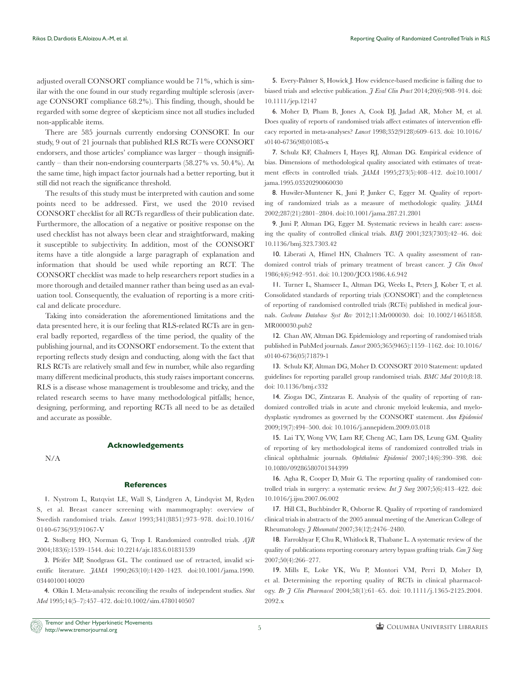adjusted overall CONSORT compliance would be 71%, which is similar with the one found in our study regarding multiple sclerosis (average CONSORT compliance 68.2%). This finding, though, should be regarded with some degree of skepticism since not all studies included non-applicable items.

There are 585 journals currently endorsing CONSORT. In our study, 9 out of 21 journals that published RLS RCTs were CONSORT endorsers, and those articles' compliance was larger – though insignificantly – than their non-endorsing counterparts (58.27% vs. 50.4%). At the same time, high impact factor journals had a better reporting, but it still did not reach the significance threshold.

The results of this study must be interpreted with caution and some points need to be addressed. First, we used the 2010 revised CONSORT checklist for all RCTs regardless of their publication date. Furthermore, the allocation of a negative or positive response on the used checklist has not always been clear and straightforward, making it susceptible to subjectivity. In addition, most of the CONSORT items have a title alongside a large paragraph of explanation and information that should be used while reporting an RCT. The CONSORT checklist was made to help researchers report studies in a more thorough and detailed manner rather than being used as an evaluation tool. Consequently, the evaluation of reporting is a more critical and delicate procedure.

Taking into consideration the aforementioned limitations and the data presented here, it is our feeling that RLS-related RCTs are in general badly reported, regardless of the time period, the quality of the publishing journal, and its CONSORT endorsement. To the extent that reporting reflects study design and conducting, along with the fact that RLS RCTs are relatively small and few in number, while also regarding many different medicinal products, this study raises important concerns. RLS is a disease whose management is troublesome and tricky, and the related research seems to have many methodological pitfalls; hence, designing, performing, and reporting RCTs all need to be as detailed and accurate as possible.

N/A

# **References**

**Acknowledgements**

1. Nystrom L, Rutqvist LE, Wall S, Lindgren A, Lindqvist M, Ryden S, et al. Breast cancer screening with mammography: overview of Swedish randomised trials. *Lancet* 1993;341(8851):973–978. doi:10.1016/ 0140-6736(93)91067-V

2. Stolberg HO, Norman G, Trop I. Randomized controlled trials. *AJR* 2004;183(6):1539–1544. doi: 10.2214/ajr.183.6.01831539

3. Pfeifer MP, Snodgrass GL. The continued use of retracted, invalid scientific literature. *JAMA* 1990;263(10):1420–1423. doi:10.1001/jama.1990. 03440100140020

4. Olkin I. Meta-analysis: reconciling the results of independent studies. *Stat Med* 1995;14(5–7):457–472. doi:10.1002/sim.4780140507

5. Every-Palmer S, Howick J. How evidence-based medicine is failing due to biased trials and selective publication. *J Eval Clin Pract* 2014;20(6):908–914. doi: 10.1111/jep.12147

6. Moher D, Pham B, Jones A, Cook DJ, Jadad AR, Moher M, et al. Does quality of reports of randomised trials affect estimates of intervention efficacy reported in meta-analyses? *Lancet* 1998;352(9128):609–613. doi: 10.1016/ s0140-6736(98)01085-x

7. Schulz KF, Chalmers I, Hayes RJ, Altman DG. Empirical evidence of bias. Dimensions of methodological quality associated with estimates of treatment effects in controlled trials. *JAMA* 1995;273(5):408–412. doi:10.1001/ jama.1995.03520290060030

8. Huwiler-Muntener K, Juni P, Junker C, Egger M. Quality of reporting of randomized trials as a measure of methodologic quality. *JAMA* 2002;287(21):2801–2804. doi:10.1001/jama.287.21.2801

9. Juni P, Altman DG, Egger M. Systematic reviews in health care: assessing the quality of controlled clinical trials. *BMJ* 2001;323(7303):42–46. doi: 10.1136/bmj.323.7303.42

10. Liberati A, Himel HN, Chalmers TC. A quality assessment of randomized control trials of primary treatment of breast cancer. *J Clin Oncol* 1986;4(6):942–951. doi: 10.1200/JCO.1986.4.6.942

11. Turner L, Shamseer L, Altman DG, Weeks L, Peters J, Kober T, et al. Consolidated standards of reporting trials (CONSORT) and the completeness of reporting of randomised controlled trials (RCTs) published in medical journals. *Cochrane Database Syst Rev* 2012;11:Mr000030. doi: 10.1002/14651858. MR000030.pub2

12. Chan AW, Altman DG. Epidemiology and reporting of randomised trials published in PubMed journals. *Lancet* 2005;365(9465):1159–1162. doi: 10.1016/ s0140-6736(05)71879-1

13. Schulz KF, Altman DG, Moher D. CONSORT 2010 Statement: updated guidelines for reporting parallel group randomised trials. *BMC Med* 2010;8:18. doi: 10.1136/bmj.c332

14. Ziogas DC, Zintzaras E. Analysis of the quality of reporting of randomized controlled trials in acute and chronic myeloid leukemia, and myelodysplastic syndromes as governed by the CONSORT statement. *Ann Epidemiol* 2009;19(7):494–500. doi: 10.1016/j.annepidem.2009.03.018

15. Lai TY, Wong VW, Lam RF, Cheng AC, Lam DS, Leung GM. Quality of reporting of key methodological items of randomized controlled trials in clinical ophthalmic journals. *Ophthalmic Epidemiol* 2007;14(6):390–398. doi: 10.1080/09286580701344399

16. Agha R, Cooper D, Muir G. The reporting quality of randomised controlled trials in surgery: a systematic review. *Int J Surg* 2007;5(6):413–422. doi: 10.1016/j.ijsu.2007.06.002

17. Hill CL, Buchbinder R, Osborne R. Quality of reporting of randomized clinical trials in abstracts of the 2005 annual meeting of the American College of Rheumatology. *J Rheumatol* 2007;34(12):2476–2480.

18. Farrokhyar F, Chu R, Whitlock R, Thabane L. A systematic review of the quality of publications reporting coronary artery bypass grafting trials. *Can J Surg* 2007;50(4):266–277.

19. Mills E, Loke YK, Wu P, Montori VM, Perri D, Moher D, et al. Determining the reporting quality of RCTs in clinical pharmacology. *Br J Clin Pharmacol* 2004;58(1):61–65. doi: 10.1111/j.1365-2125.2004. 2092.x